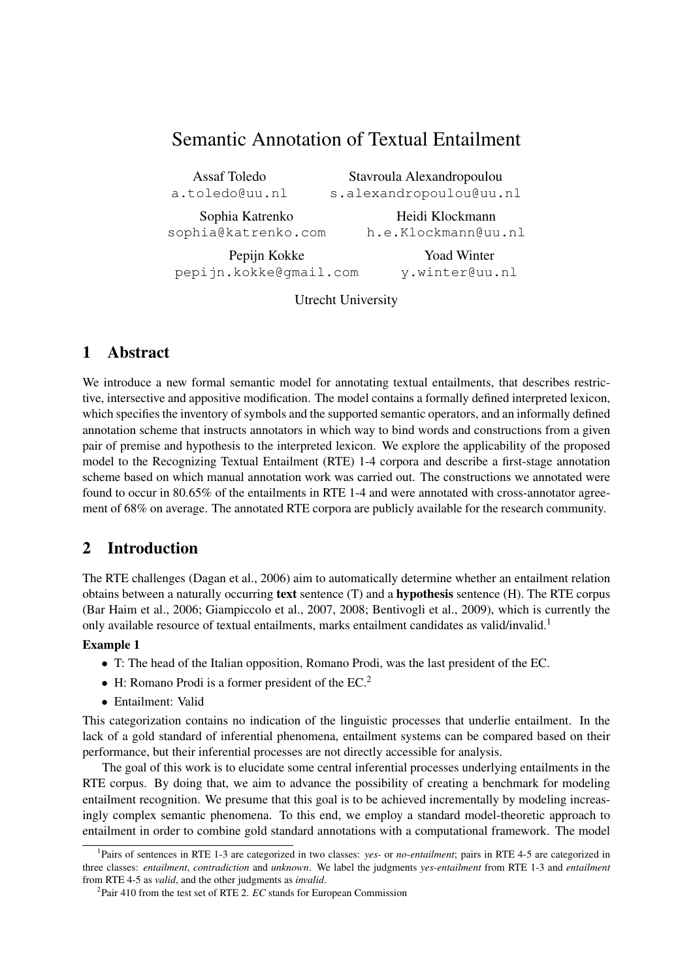# Semantic Annotation of Textual Entailment

Assaf Toledo a.toledo@uu.nl

Stavroula Alexandropoulou s.alexandropoulou@uu.nl

Sophia Katrenko sophia@katrenko.com

Heidi Klockmann h.e.Klockmann@uu.nl

Pepijn Kokke pepijn.kokke@gmail.com

Yoad Winter y.winter@uu.nl

Utrecht University

# 1 Abstract

We introduce a new formal semantic model for annotating textual entailments, that describes restrictive, intersective and appositive modification. The model contains a formally defined interpreted lexicon, which specifies the inventory of symbols and the supported semantic operators, and an informally defined annotation scheme that instructs annotators in which way to bind words and constructions from a given pair of premise and hypothesis to the interpreted lexicon. We explore the applicability of the proposed model to the Recognizing Textual Entailment (RTE) 1-4 corpora and describe a first-stage annotation scheme based on which manual annotation work was carried out. The constructions we annotated were found to occur in 80.65% of the entailments in RTE 1-4 and were annotated with cross-annotator agreement of 68% on average. The annotated RTE corpora are publicly available for the research community.

# 2 Introduction

The RTE challenges (Dagan et al., 2006) aim to automatically determine whether an entailment relation obtains between a naturally occurring text sentence  $(T)$  and a **hypothesis** sentence  $(H)$ . The RTE corpus (Bar Haim et al., 2006; Giampiccolo et al., 2007, 2008; Bentivogli et al., 2009), which is currently the only available resource of textual entailments, marks entailment candidates as valid/invalid.<sup>1</sup>

### Example 1

- T: The head of the Italian opposition, Romano Prodi, was the last president of the EC.
- H: Romano Prodi is a former president of the EC.<sup>2</sup>
- Entailment: Valid

This categorization contains no indication of the linguistic processes that underlie entailment. In the lack of a gold standard of inferential phenomena, entailment systems can be compared based on their performance, but their inferential processes are not directly accessible for analysis.

The goal of this work is to elucidate some central inferential processes underlying entailments in the RTE corpus. By doing that, we aim to advance the possibility of creating a benchmark for modeling entailment recognition. We presume that this goal is to be achieved incrementally by modeling increasingly complex semantic phenomena. To this end, we employ a standard model-theoretic approach to entailment in order to combine gold standard annotations with a computational framework. The model

<sup>&</sup>lt;sup>1</sup>Pairs of sentences in RTE 1-3 are categorized in two classes: *yes*- or *no-entailment*; pairs in RTE 4-5 are categorized in three classes: *entailment*, *contradiction* and *unknown*. We label the judgments *yes-entailment* from RTE 1-3 and *entailment* from RTE 4-5 as *valid*, and the other judgments as *invalid*.

<sup>&</sup>lt;sup>2</sup>Pair 410 from the test set of RTE 2. *EC* stands for European Commission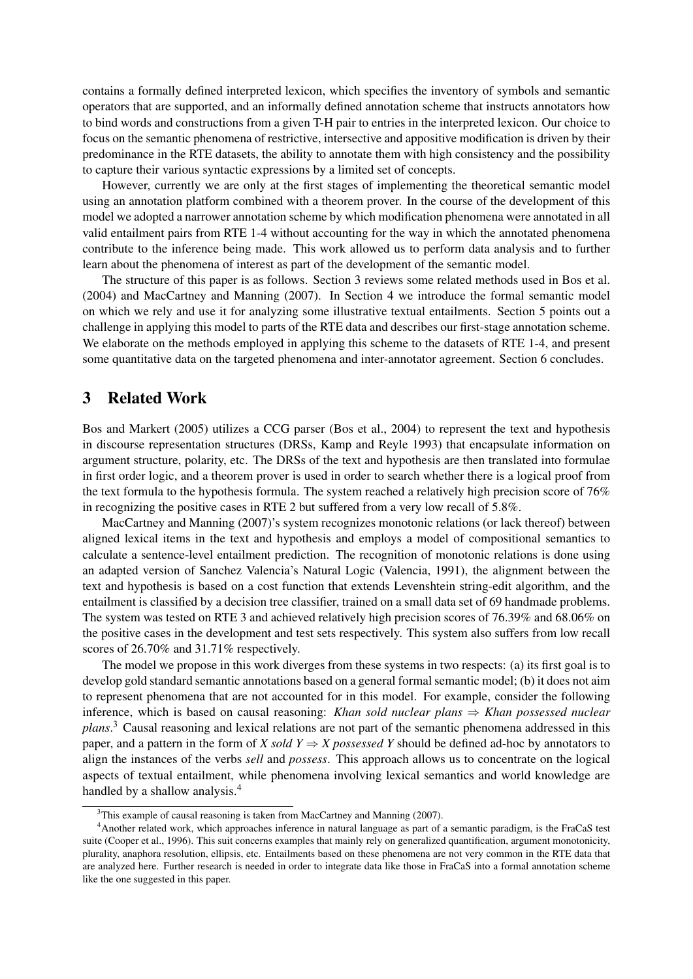contains a formally defined interpreted lexicon, which specifies the inventory of symbols and semantic operators that are supported, and an informally defined annotation scheme that instructs annotators how to bind words and constructions from a given T-H pair to entries in the interpreted lexicon. Our choice to focus on the semantic phenomena of restrictive, intersective and appositive modification is driven by their predominance in the RTE datasets, the ability to annotate them with high consistency and the possibility to capture their various syntactic expressions by a limited set of concepts.

However, currently we are only at the first stages of implementing the theoretical semantic model using an annotation platform combined with a theorem prover. In the course of the development of this model we adopted a narrower annotation scheme by which modification phenomena were annotated in all valid entailment pairs from RTE 1-4 without accounting for the way in which the annotated phenomena contribute to the inference being made. This work allowed us to perform data analysis and to further learn about the phenomena of interest as part of the development of the semantic model.

The structure of this paper is as follows. Section 3 reviews some related methods used in Bos et al. (2004) and MacCartney and Manning (2007). In Section 4 we introduce the formal semantic model on which we rely and use it for analyzing some illustrative textual entailments. Section 5 points out a challenge in applying this model to parts of the RTE data and describes our first-stage annotation scheme. We elaborate on the methods employed in applying this scheme to the datasets of RTE 1-4, and present some quantitative data on the targeted phenomena and inter-annotator agreement. Section 6 concludes.

### 3 Related Work

Bos and Markert (2005) utilizes a CCG parser (Bos et al., 2004) to represent the text and hypothesis in discourse representation structures (DRSs, Kamp and Reyle 1993) that encapsulate information on argument structure, polarity, etc. The DRSs of the text and hypothesis are then translated into formulae in first order logic, and a theorem prover is used in order to search whether there is a logical proof from the text formula to the hypothesis formula. The system reached a relatively high precision score of 76% in recognizing the positive cases in RTE 2 but suffered from a very low recall of 5.8%.

MacCartney and Manning (2007)'s system recognizes monotonic relations (or lack thereof) between aligned lexical items in the text and hypothesis and employs a model of compositional semantics to calculate a sentence-level entailment prediction. The recognition of monotonic relations is done using an adapted version of Sanchez Valencia's Natural Logic (Valencia, 1991), the alignment between the text and hypothesis is based on a cost function that extends Levenshtein string-edit algorithm, and the entailment is classified by a decision tree classifier, trained on a small data set of 69 handmade problems. The system was tested on RTE 3 and achieved relatively high precision scores of 76.39% and 68.06% on the positive cases in the development and test sets respectively. This system also suffers from low recall scores of 26.70% and 31.71% respectively.

The model we propose in this work diverges from these systems in two respects: (a) its first goal is to develop gold standard semantic annotations based on a general formal semantic model; (b) it does not aim to represent phenomena that are not accounted for in this model. For example, consider the following inference, which is based on causal reasoning: *Khan sold nuclear plans* ⇒ *Khan possessed nuclear plans*. <sup>3</sup> Causal reasoning and lexical relations are not part of the semantic phenomena addressed in this paper, and a pattern in the form of *X sold Y*  $\Rightarrow$  *X possessed Y* should be defined ad-hoc by annotators to align the instances of the verbs *sell* and *possess*. This approach allows us to concentrate on the logical aspects of textual entailment, while phenomena involving lexical semantics and world knowledge are handled by a shallow analysis.<sup>4</sup>

 $3$ This example of causal reasoning is taken from MacCartney and Manning (2007).

<sup>4</sup>Another related work, which approaches inference in natural language as part of a semantic paradigm, is the FraCaS test suite (Cooper et al., 1996). This suit concerns examples that mainly rely on generalized quantification, argument monotonicity, plurality, anaphora resolution, ellipsis, etc. Entailments based on these phenomena are not very common in the RTE data that are analyzed here. Further research is needed in order to integrate data like those in FraCaS into a formal annotation scheme like the one suggested in this paper.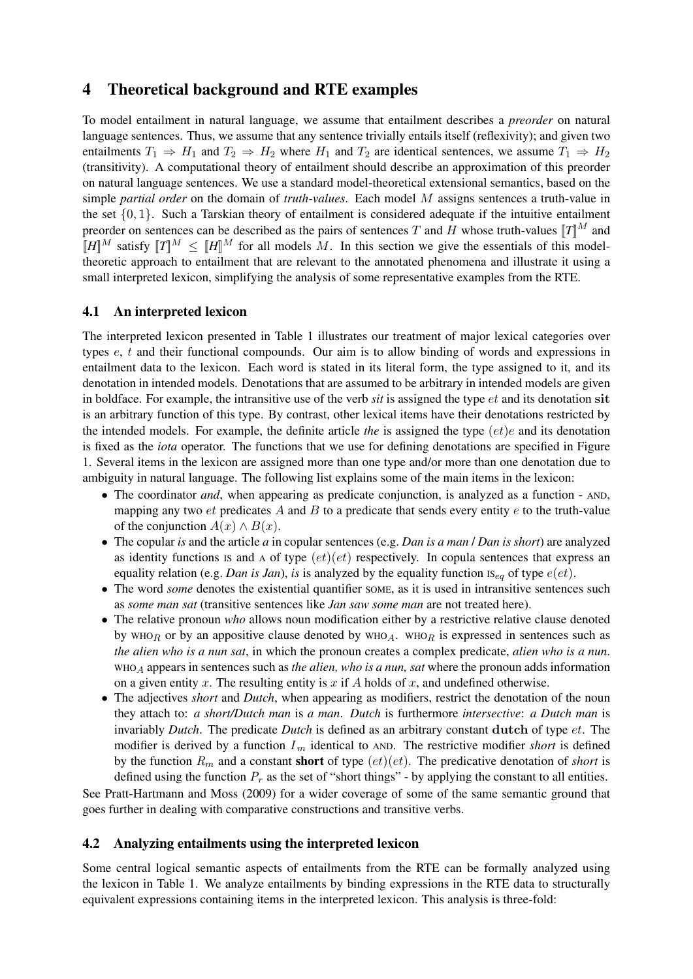# 4 Theoretical background and RTE examples

To model entailment in natural language, we assume that entailment describes a *preorder* on natural language sentences. Thus, we assume that any sentence trivially entails itself (reflexivity); and given two entailments  $T_1 \Rightarrow H_1$  and  $T_2 \Rightarrow H_2$  where  $H_1$  and  $T_2$  are identical sentences, we assume  $T_1 \Rightarrow H_2$ (transitivity). A computational theory of entailment should describe an approximation of this preorder on natural language sentences. We use a standard model-theoretical extensional semantics, based on the simple *partial order* on the domain of *truth-values*. Each model M assigns sentences a truth-value in the set  $\{0, 1\}$ . Such a Tarskian theory of entailment is considered adequate if the intuitive entailment preorder on sentences can be described as the pairs of sentences T and H whose truth-values  $T\mathbb{I}^M$  and  $[[H]]^M$  satisfy  $[[T]]^M \leq [[H]]^M$  for all models M. In this section we give the essentials of this modeltheoretic approach to entailment that are relevant to the annotated phenomena and illustrate it using a small interpreted lexicon, simplifying the analysis of some representative examples from the RTE.

### 4.1 An interpreted lexicon

The interpreted lexicon presented in Table 1 illustrates our treatment of major lexical categories over types e, t and their functional compounds. Our aim is to allow binding of words and expressions in entailment data to the lexicon. Each word is stated in its literal form, the type assigned to it, and its denotation in intended models. Denotations that are assumed to be arbitrary in intended models are given in boldface. For example, the intransitive use of the verb *sit* is assigned the type et and its denotation sit is an arbitrary function of this type. By contrast, other lexical items have their denotations restricted by the intended models. For example, the definite article *the* is assigned the type (et)e and its denotation is fixed as the *iota* operator. The functions that we use for defining denotations are specified in Figure 1. Several items in the lexicon are assigned more than one type and/or more than one denotation due to ambiguity in natural language. The following list explains some of the main items in the lexicon:

- The coordinator *and*, when appearing as predicate conjunction, is analyzed as a function AND, mapping any two  $et$  predicates  $A$  and  $B$  to a predicate that sends every entity  $e$  to the truth-value of the conjunction  $A(x) \wedge B(x)$ .
- The copular *is* and the article *a* in copular sentences (e.g. *Dan is a man* / *Dan is short*) are analyzed as identity functions is and A of type  $(et)(et)$  respectively. In copula sentences that express an equality relation (e.g. *Dan is Jan*), *is* is analyzed by the equality function  $\text{IS}_{eq}$  of type  $e(et)$ .
- The word *some* denotes the existential quantifier some, as it is used in intransitive sentences such as *some man sat* (transitive sentences like *Jan saw some man* are not treated here).
- The relative pronoun *who* allows noun modification either by a restrictive relative clause denoted by WHOR or by an appositive clause denoted by WHOA. WHOR is expressed in sentences such as *the alien who is a nun sat*, in which the pronoun creates a complex predicate, *alien who is a nun*. WHO<sup>A</sup> appears in sentences such as *the alien, who is a nun, sat* where the pronoun adds information on a given entity x. The resulting entity is x if A holds of x, and undefined otherwise.
- The adjectives *short* and *Dutch*, when appearing as modifiers, restrict the denotation of the noun they attach to: *a short/Dutch man* is *a man*. *Dutch* is furthermore *intersective*: *a Dutch man* is invariably *Dutch*. The predicate *Dutch* is defined as an arbitrary constant dutch of type et. The modifier is derived by a function  $I_m$  identical to AND. The restrictive modifier *short* is defined by the function  $R_m$  and a constant **short** of type  $(et)(et)$ . The predicative denotation of *short* is defined using the function  $P_r$  as the set of "short things" - by applying the constant to all entities.

See Pratt-Hartmann and Moss (2009) for a wider coverage of some of the same semantic ground that goes further in dealing with comparative constructions and transitive verbs.

### 4.2 Analyzing entailments using the interpreted lexicon

Some central logical semantic aspects of entailments from the RTE can be formally analyzed using the lexicon in Table 1. We analyze entailments by binding expressions in the RTE data to structurally equivalent expressions containing items in the interpreted lexicon. This analysis is three-fold: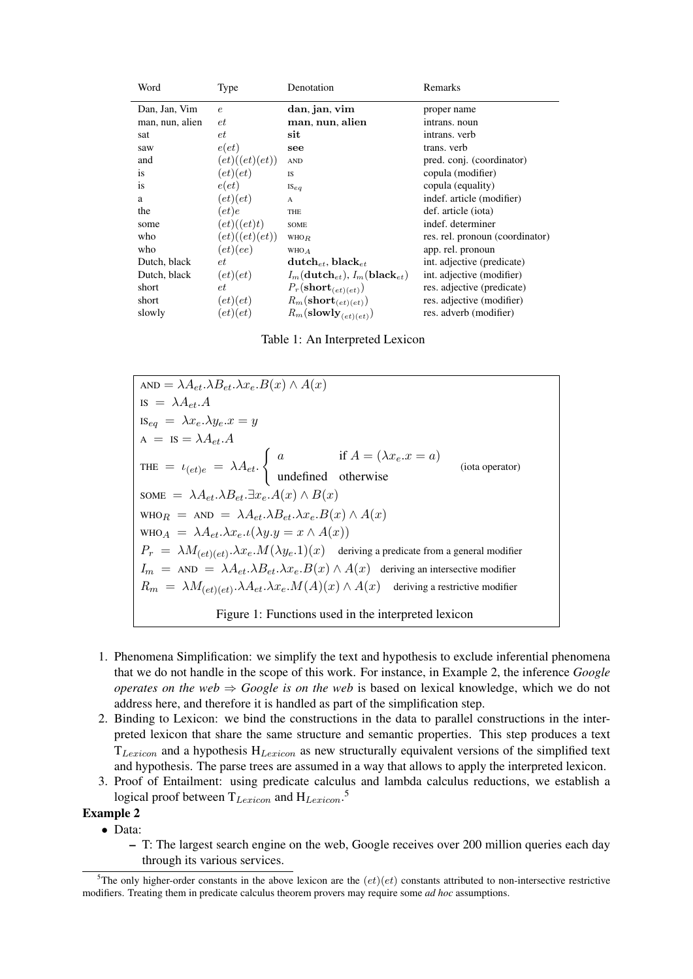| Word            | Type                                 | Denotation                                           | Remarks                         |
|-----------------|--------------------------------------|------------------------------------------------------|---------------------------------|
| Dan, Jan, Vim   | $\epsilon$                           | dan, jan, vim                                        | proper name                     |
| man, nun, alien | et                                   | man, nun, alien                                      | intrans. noun                   |
| sat             | et                                   | sit                                                  | intrans. verb                   |
| saw             | e(e t)                               | see                                                  | trans. verb                     |
| and             | (et)(et)(et))                        | $\mathbf{AND}$                                       | pred. conj. (coordinator)       |
| <i>is</i>       | $\left( et\right) \left( et\right)$  | <b>IS</b>                                            | copula (modifier)               |
| <i>is</i>       | e(e t)                               | $I\mathcal{S}_{eq}$                                  | copula (equality)               |
| a               | $\left( et\right) \left( et\right)$  | A                                                    | indef. article (modifier)       |
| the             | $(e_t)e$                             | THE                                                  | def. article (iota)             |
| some            | $\left(et\right)\left( (et)t\right)$ | SOME                                                 | indef. determiner               |
| who             | $\left(et)(et)(et)\right)$           | <b>WHOR</b>                                          | res. rel. pronoun (coordinator) |
| who             | (et)(ee)                             | WHO A                                                | app. rel. pronoun               |
| Dutch, black    | et                                   | $\text{dutch}_{et}$ , black $_{et}$                  | int. adjective (predicate)      |
| Dutch, black    | $\left( et\right) \left( et\right)$  | $I_m(\textbf{dutch}_{et}), I_m(\textbf{black}_{et})$ | int. adjective (modifier)       |
| short           | et                                   | $P_r(\textbf{short}_{(et)(et)})$                     | res. adjective (predicate)      |
| short           | $(e_t)(et)$                          | $R_m(\textbf{short}_{(et)(et)})$                     | res. adjective (modifier)       |
| slowly          | $^{\prime}\,et)(et)$                 | $R_m(\text{slowly}_{(et)(et)})$                      | res. adverb (modifier)          |

Table 1: An Interpreted Lexicon

AND =  $\lambda A_{et} \cdot \lambda B_{et} \cdot \lambda x_e B(x) \wedge A(x)$ IS  $= \lambda A_{et} A$ IS<sub>eq</sub> =  $\lambda x_e \cdot \lambda y_e \cdot x = y$  $A = IS = \lambda A_{et}.A$ THE  $= \iota_{(et)e} = \lambda A_{et}.$  $\int a$  if  $A = (\lambda x_e \cdot x = a)$ undefined otherwise (iota operator) SOME =  $\lambda A_{et} \cdot \lambda B_{et} \cdot \exists x_e \cdot A(x) \wedge B(x)$ WHOR = AND =  $\lambda A_{et} \cdot \lambda B_{et} \cdot \lambda x_e B(x) \wedge A(x)$ WHO  $A = \lambda A_{et} \cdot \lambda x_{e} \cdot \iota(\lambda y \cdot y = x \wedge A(x))$  $P_r = \lambda M_{(et)(et)}.\lambda x_e.M(\lambda y_e.1)(x)$  deriving a predicate from a general modifier  $I_m = \text{AND} = \lambda A_{et} \cdot \lambda B_{et} \cdot \lambda x_e B(x) \wedge A(x)$  deriving an intersective modifier  $R_m = \lambda M_{(et)(et)}.\lambda A_{et}.\lambda x_e.M(A)(x) \wedge A(x)$  deriving a restrictive modifier Figure 1: Functions used in the interpreted lexicon

- 1. Phenomena Simplification: we simplify the text and hypothesis to exclude inferential phenomena that we do not handle in the scope of this work. For instance, in Example 2, the inference *Google operates on the web*  $\Rightarrow$  *Google is on the web* is based on lexical knowledge, which we do not address here, and therefore it is handled as part of the simplification step.
- 2. Binding to Lexicon: we bind the constructions in the data to parallel constructions in the interpreted lexicon that share the same structure and semantic properties. This step produces a text  $T_{Lexicon}$  and a hypothesis  $H_{Lexicon}$  as new structurally equivalent versions of the simplified text and hypothesis. The parse trees are assumed in a way that allows to apply the interpreted lexicon.
- 3. Proof of Entailment: using predicate calculus and lambda calculus reductions, we establish a logical proof between  $T_{Lexicon}$  and  $H_{Lexicon}$ .<sup>5</sup>

Example 2

- Data:
	- T: The largest search engine on the web, Google receives over 200 million queries each day through its various services.

<sup>&</sup>lt;sup>5</sup>The only higher-order constants in the above lexicon are the  $(et)(et)$  constants attributed to non-intersective restrictive modifiers. Treating them in predicate calculus theorem provers may require some *ad hoc* assumptions.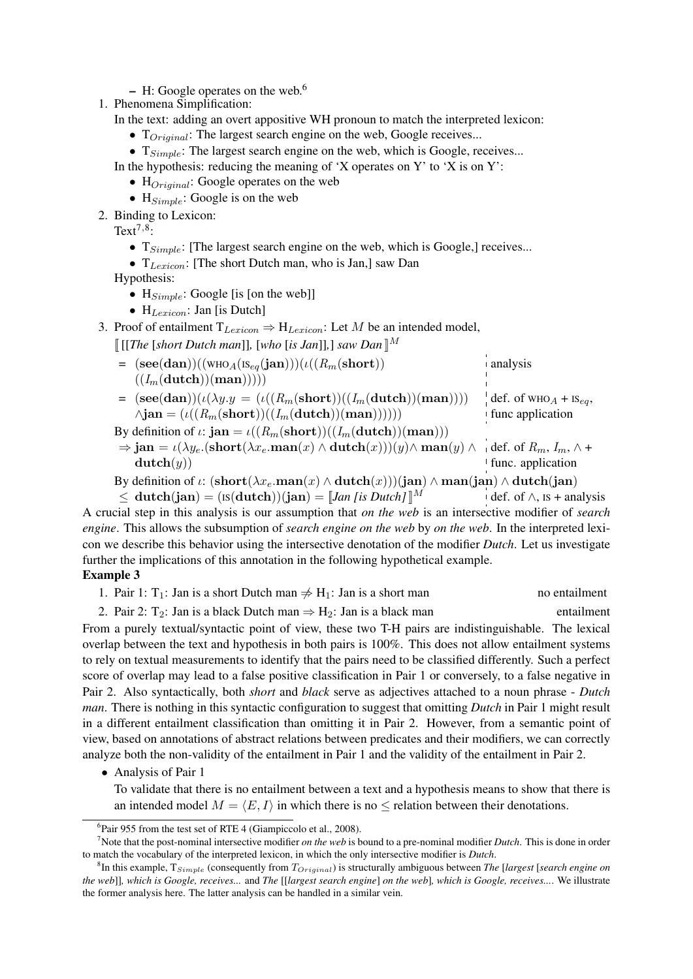- $-$  H: Google operates on the web.<sup>6</sup>
- 1. Phenomena Simplification:
	- In the text: adding an overt appositive WH pronoun to match the interpreted lexicon:
		- $T_{Original}$ : The largest search engine on the web, Google receives...
		- $T_{Simple}$ : The largest search engine on the web, which is Google, receives...

In the hypothesis: reducing the meaning of 'X operates on Y' to 'X is on Y':

- $\bullet$  H<sub>Original</sub>: Google operates on the web
- $H_{Simple}$ : Google is on the web
- 2. Binding to Lexicon:

Text<sup> $7,8$ </sup>:

- $T_{Simple}$ : [The largest search engine on the web, which is Google,] receives...
- $T_{Lexicon}$ : [The short Dutch man, who is Jan,] saw Dan

Hypothesis:

- $H_{Simple}$ : Google [is [on the web]]
- $H_{Lexicon}$ : Jan [is Dutch]
- 3. Proof of entailment  $T_{Lexicon} \Rightarrow H_{Lexicon}$ : Let M be an intended model,

 $\llbracket \text{[[The [short Dutch man]], [who [is Jan]],] saw Dan \rrbracket^M$ 

- $=$   $($ see(dan))((wHO<sub>A</sub>(IS<sub>eq</sub>(jan)))( $\iota$ ((R<sub>m</sub>(short))  $((I_m(\text{dutch}))(\text{man}))))$ analysis
- =  $(\text{see}(\text{dan}))(\iota(\lambda y.y = (\iota((R_m(\text{short}))((I_m(\text{dutch}))(\text{man}))))$  $\wedge$ jan =  $(\iota((R_m(\text{short}))((I_m(\text{dutch}))(\text{man}))))$  $\det$  def. of WHO<sub>A</sub> + IS<sub>eq</sub>, func application

By definition of  $\iota$ : jan =  $\iota((R_m(\text{short}))((I_m(\text{dutch}))(\text{man})))$ 

- $\Rightarrow$  jan =  $\iota(\lambda y_e.({\rm short}(\lambda x_e.{\rm man}(x) \wedge {\rm dutch}(x)))(y) \wedge {\rm man}(y) \wedge \neg \ {\rm def.\ of\ } R_m, I_m, \wedge +$  $\mathbf{dutch}(y)$ <sup>t</sup> func. application
- By definition of  $\iota$ :  $(\operatorname{short}(\lambda x_e.\operatorname{man}(x) \wedge \operatorname{dutch}(x)))(\operatorname{jan}) \wedge \operatorname{man}(\operatorname{jan}) \wedge \operatorname{dutch}(\operatorname{jan})$

 $\leq$  dutch(jan) = (Is(dutch))(jan) = [*Jan [is Dutch]*]<sup>M</sup> def. of  $\wedge$ , Is + analysis

A crucial step in this analysis is our assumption that *on the web* is an intersective modifier of *search engine*. This allows the subsumption of *search engine on the web* by *on the web*. In the interpreted lexicon we describe this behavior using the intersective denotation of the modifier *Dutch*. Let us investigate further the implications of this annotation in the following hypothetical example.

### Example 3

| 1. Pair 1: $T_1$ : Jan is a short Dutch man $\neq H_1$ : Jan is a short man | no entailment |
|-----------------------------------------------------------------------------|---------------|
|                                                                             |               |

2. Pair 2: T<sub>2</sub>: Jan is a black Dutch man  $\Rightarrow$  H<sub>2</sub>: Jan is a black man entailment From a purely textual/syntactic point of view, these two T-H pairs are indistinguishable. The lexical overlap between the text and hypothesis in both pairs is 100%. This does not allow entailment systems to rely on textual measurements to identify that the pairs need to be classified differently. Such a perfect score of overlap may lead to a false positive classification in Pair 1 or conversely, to a false negative in Pair 2. Also syntactically, both *short* and *black* serve as adjectives attached to a noun phrase - *Dutch man*. There is nothing in this syntactic configuration to suggest that omitting *Dutch* in Pair 1 might result in a different entailment classification than omitting it in Pair 2. However, from a semantic point of view, based on annotations of abstract relations between predicates and their modifiers, we can correctly analyze both the non-validity of the entailment in Pair 1 and the validity of the entailment in Pair 2.

• Analysis of Pair 1

To validate that there is no entailment between a text and a hypothesis means to show that there is an intended model  $M = \langle E, I \rangle$  in which there is no  $\leq$  relation between their denotations.

<sup>&</sup>lt;sup>6</sup>Pair 955 from the test set of RTE 4 (Giampiccolo et al., 2008).

<sup>7</sup>Note that the post-nominal intersective modifier *on the web* is bound to a pre-nominal modifier *Dutch*. This is done in order to match the vocabulary of the interpreted lexicon, in which the only intersective modifier is *Dutch*.

<sup>8</sup> In this example, TSimple (consequently from TOriginal) is structurally ambiguous between *The* [*largest* [*search engine on the web*]]*, which is Google, receives...* and *The* [[*largest search engine*] *on the web*]*, which is Google, receives...*. We illustrate the former analysis here. The latter analysis can be handled in a similar vein.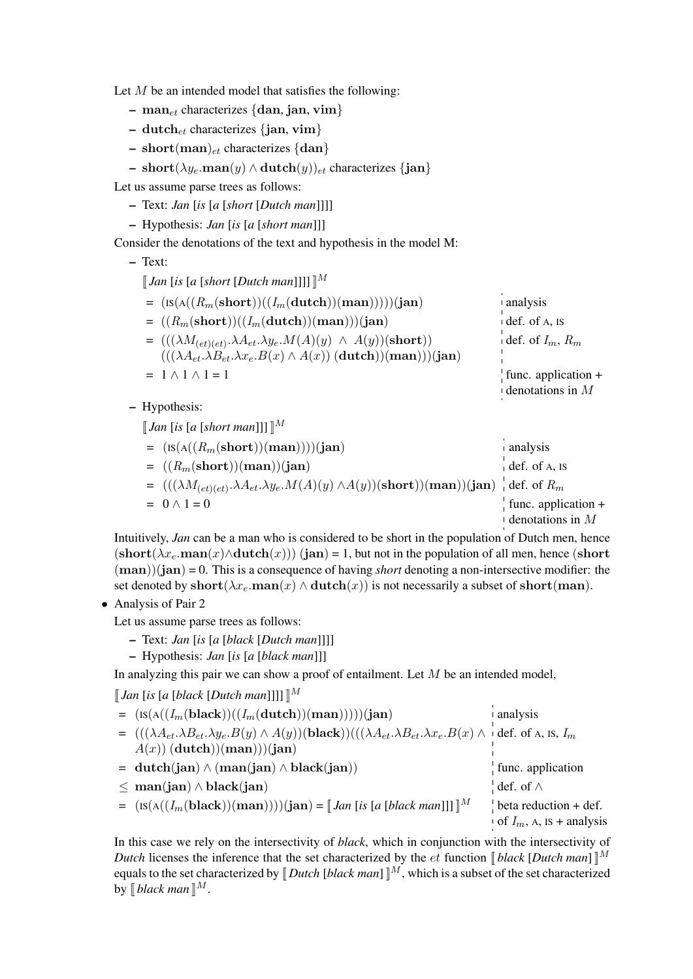Let  $M$  be an intended model that satisfies the following:

- man<sub>et</sub> characterizes {dan, jan, vim}
- dutch $_{et}$  characterizes {jan, vim}
- short(man)<sub>et</sub> characterizes {dan}
- short( $\lambda y_e$ .man(y) ∧ dutch(y))<sub>et</sub> characterizes {jan}

Let us assume parse trees as follows:

- Text: *Jan* [*is* [*a* [*short* [*Dutch man*]]]]
- Hypothesis: *Jan* [*is* [*a* [*short man*]]]

Consider the denotations of the text and hypothesis in the model M:

– Text:

 $\llbracket$  *Jan* [*is* [*a* [*short* [*Dutch man*]]]]  $\llbracket M$ 

| $=$ $($ IS(A(( $R_m$ (short))(( $I_m$ (dutch))(man)))))(jan)                               | $\blacksquare$ analysis   |
|--------------------------------------------------------------------------------------------|---------------------------|
| $= ((R_m(\text{short}))((I_m(\text{dutch}))(\text{man})))(\text{jan})$                     | $\pm$ def. of A, IS       |
| $= (((\lambda M_{(et)(et)}.\lambda A_{et}.\lambda y_e.M(A)(y) \wedge A(y))(\text{short}))$ | def. of $I_m$ , $R_m$     |
| $(((\lambda A_{et}.\lambda B_{et}.\lambda x_e.B(x) \wedge A(x)) (dutch))(man))$ (jan)      |                           |
| $= 1 \wedge 1 \wedge 1 = 1$                                                                | func. application $+$     |
|                                                                                            | $\theta$ denotations in M |

– Hypothesis:

 $\llbracket$  *Jan* [*is* [*a* [*short man*]]]  $\llbracket M$ 

| $=$ $($ IS(A(( $R_m$ (short))(man))))(jan)                                                                                                 | $\blacksquare$ analysis  |
|--------------------------------------------------------------------------------------------------------------------------------------------|--------------------------|
| $= ((R_m(\text{short}))(\text{man}))(\text{jan})$                                                                                          | $\det$ def. of A, IS     |
| $=$ $(((\lambda M_{(et)(et)}.\lambda A_{et}.\lambda y_e.M(A)(y) \wedge A(y))(\textbf{short}))((\textbf{man}))(\textbf{jan})$ def. of $R_m$ |                          |
| $= 0 \wedge 1 = 0$                                                                                                                         | func. application $+$    |
|                                                                                                                                            | $\perp$ denotations in M |

Intuitively, *Jan* can be a man who is considered to be short in the population of Dutch men, hence  $(\text{short}(\lambda x_e \cdot \text{man}(x) \wedge \text{dutch}(x)))$  (jan) = 1, but not in the population of all men, hence (short (man))(jan) = 0. This is a consequence of having *short* denoting a non-intersective modifier: the set denoted by short( $\lambda x_e$ .man(x)  $\wedge$  dutch(x)) is not necessarily a subset of short(man).

• Analysis of Pair 2

Let us assume parse trees as follows:

- Text: *Jan* [*is* [*a* [*black* [*Dutch man*]]]]
- Hypothesis: *Jan* [*is* [*a* [*black man*]]]

In analyzing this pair we can show a proof of entailment. Let  $M$  be an intended model,

 $\llbracket$  *Jan* [*is* [*a* [*black* [*Dutch man*]]]]  $\llbracket M$ 

| $=$ $($ IS(A(( $I_m$ (black))(( $I_m$ (dutch))(man)))))(jan)                                                                                                          | analysis                            |
|-----------------------------------------------------------------------------------------------------------------------------------------------------------------------|-------------------------------------|
| $= (((\lambda A_{et}.\lambda B_{et}.\lambda y_e.B(y) \wedge A(y))(\textbf{black}))((\lambda A_{et}.\lambda B_{et}.\lambda x_e.B(x) \wedge \text{def. of A, Is, } I_m$ |                                     |
| $A(x)$ (dutch) (man) (jan)                                                                                                                                            |                                     |
| $= \text{dutch}(jan) \wedge (man(jan) \wedge black(jan))$                                                                                                             | func. application                   |
| $\leq$ man(jan) $\wedge$ black(jan)                                                                                                                                   | def. of $\wedge$                    |
| $= (\text{IS}(A((I_m(\text{black}))(\text{man}))))(\text{jan}) =    Jan [is [a [black man]]]   ^M$                                                                    | $\frac{1}{2}$ beta reduction + def. |
|                                                                                                                                                                       | of $I_m$ , A, is + analysis         |

In this case we rely on the intersectivity of *black*, which in conjunction with the intersectivity of *Dutch* licenses the inference that the set characterized by the *et* function  $\llbracket black \left[ Dutch \, man \right] \llbracket M$ equals to the set characterized by  $\llbracket Dutch$  [*black man*]  $\rrbracket^M$ , which is a subset of the set characterized by  $\llbracket$  *black man*  $\rrbracket^M$ .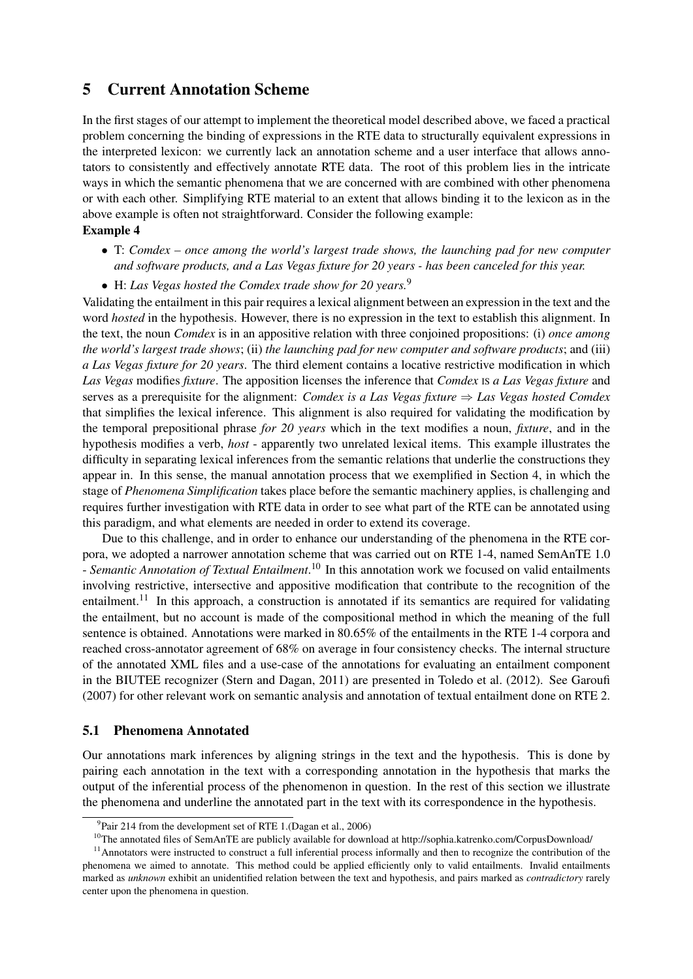# 5 Current Annotation Scheme

In the first stages of our attempt to implement the theoretical model described above, we faced a practical problem concerning the binding of expressions in the RTE data to structurally equivalent expressions in the interpreted lexicon: we currently lack an annotation scheme and a user interface that allows annotators to consistently and effectively annotate RTE data. The root of this problem lies in the intricate ways in which the semantic phenomena that we are concerned with are combined with other phenomena or with each other. Simplifying RTE material to an extent that allows binding it to the lexicon as in the above example is often not straightforward. Consider the following example:

#### Example 4

- T: *Comdex once among the world's largest trade shows, the launching pad for new computer and software products, and a Las Vegas fixture for 20 years - has been canceled for this year.*
- H: *Las Vegas hosted the Comdex trade show for 20 years.*<sup>9</sup>

Validating the entailment in this pair requires a lexical alignment between an expression in the text and the word *hosted* in the hypothesis. However, there is no expression in the text to establish this alignment. In the text, the noun *Comdex* is in an appositive relation with three conjoined propositions: (i) *once among the world's largest trade shows*; (ii) *the launching pad for new computer and software products*; and (iii) *a Las Vegas fixture for 20 years*. The third element contains a locative restrictive modification in which *Las Vegas* modifies *fixture*. The apposition licenses the inference that *Comdex* IS *a Las Vegas fixture* and serves as a prerequisite for the alignment: *Comdex is a Las Vegas fixture* ⇒ *Las Vegas hosted Comdex* that simplifies the lexical inference. This alignment is also required for validating the modification by the temporal prepositional phrase *for 20 years* which in the text modifies a noun, *fixture*, and in the hypothesis modifies a verb, *host* - apparently two unrelated lexical items. This example illustrates the difficulty in separating lexical inferences from the semantic relations that underlie the constructions they appear in. In this sense, the manual annotation process that we exemplified in Section 4, in which the stage of *Phenomena Simplification* takes place before the semantic machinery applies, is challenging and requires further investigation with RTE data in order to see what part of the RTE can be annotated using this paradigm, and what elements are needed in order to extend its coverage.

Due to this challenge, and in order to enhance our understanding of the phenomena in the RTE corpora, we adopted a narrower annotation scheme that was carried out on RTE 1-4, named SemAnTE 1.0 - *Semantic Annotation of Textual Entailment*. <sup>10</sup> In this annotation work we focused on valid entailments involving restrictive, intersective and appositive modification that contribute to the recognition of the entailment.<sup>11</sup> In this approach, a construction is annotated if its semantics are required for validating the entailment, but no account is made of the compositional method in which the meaning of the full sentence is obtained. Annotations were marked in 80.65% of the entailments in the RTE 1-4 corpora and reached cross-annotator agreement of 68% on average in four consistency checks. The internal structure of the annotated XML files and a use-case of the annotations for evaluating an entailment component in the BIUTEE recognizer (Stern and Dagan, 2011) are presented in Toledo et al. (2012). See Garoufi (2007) for other relevant work on semantic analysis and annotation of textual entailment done on RTE 2.

### 5.1 Phenomena Annotated

Our annotations mark inferences by aligning strings in the text and the hypothesis. This is done by pairing each annotation in the text with a corresponding annotation in the hypothesis that marks the output of the inferential process of the phenomenon in question. In the rest of this section we illustrate the phenomena and underline the annotated part in the text with its correspondence in the hypothesis.

<sup>&</sup>lt;sup>9</sup>Pair 214 from the development set of RTE 1.(Dagan et al., 2006)

 $10$ The annotated files of SemAnTE are publicly available for download at http://sophia.katrenko.com/CorpusDownload/

 $11$ Annotators were instructed to construct a full inferential process informally and then to recognize the contribution of the phenomena we aimed to annotate. This method could be applied efficiently only to valid entailments. Invalid entailments marked as *unknown* exhibit an unidentified relation between the text and hypothesis, and pairs marked as *contradictory* rarely center upon the phenomena in question.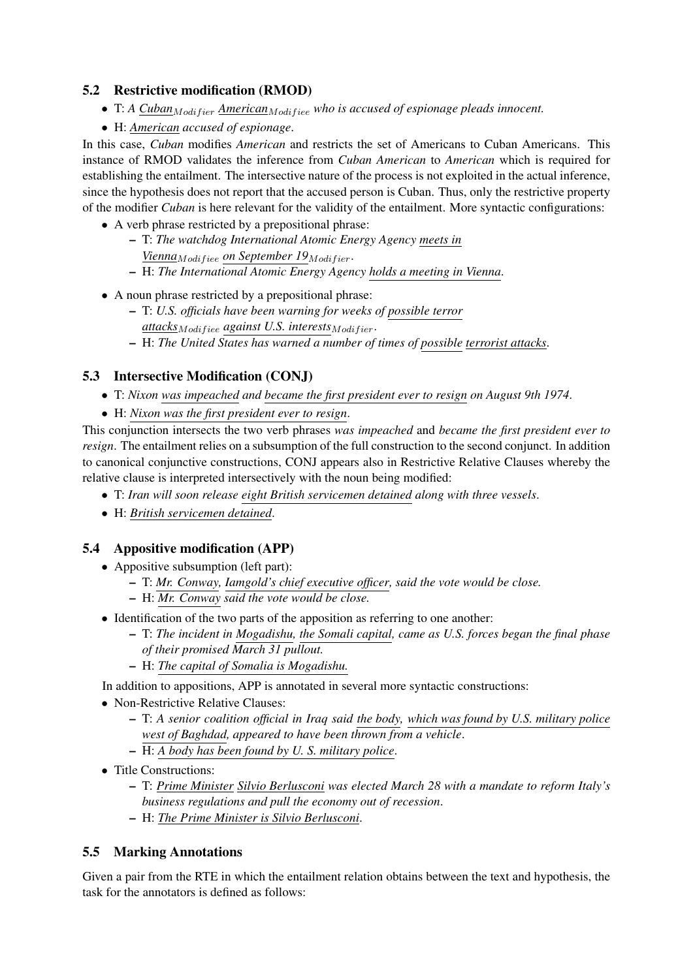### 5.2 Restrictive modification (RMOD)

- T: *A Cuban<sub>Modifier</sub> American<sub>Modifiee</sub> who is accused of espionage pleads innocent.*
- H: *American accused of espionage*.

In this case, *Cuban* modifies *American* and restricts the set of Americans to Cuban Americans. This instance of RMOD validates the inference from *Cuban American* to *American* which is required for establishing the entailment. The intersective nature of the process is not exploited in the actual inference, since the hypothesis does not report that the accused person is Cuban. Thus, only the restrictive property of the modifier *Cuban* is here relevant for the validity of the entailment. More syntactic configurations:

- A verb phrase restricted by a prepositional phrase:
	- T: *The watchdog International Atomic Energy Agency meets in Vienna<sub>Modifiee</sub> on September 19<sub>Modifier</sub>.*
	- H: *The International Atomic Energy Agency holds a meeting in Vienna*.
- A noun phrase restricted by a prepositional phrase:
	- T: *U.S. officials have been warning for weeks of possible terror attacks* Modifiee *against U.S. interests* Modifier.
	- H: *The United States has warned a number of times of possible terrorist attacks*.

### 5.3 Intersective Modification (CONJ)

- T: *Nixon was impeached and became the first president ever to resign on August 9th 1974*.
- H: *Nixon was the first president ever to resign*.

This conjunction intersects the two verb phrases *was impeached* and *became the first president ever to resign*. The entailment relies on a subsumption of the full construction to the second conjunct. In addition to canonical conjunctive constructions, CONJ appears also in Restrictive Relative Clauses whereby the relative clause is interpreted intersectively with the noun being modified:

- T: *Iran will soon release eight British servicemen detained along with three vessels*.
- H: *British servicemen detained*.

### 5.4 Appositive modification (APP)

- Appositive subsumption (left part):
	- T: *Mr. Conway, Iamgold's chief executive officer, said the vote would be close.*
	- H: *Mr. Conway said the vote would be close.*
- Identification of the two parts of the apposition as referring to one another:
	- T: *The incident in Mogadishu, the Somali capital, came as U.S. forces began the final phase of their promised March 31 pullout.*
	- H: *The capital of Somalia is Mogadishu.*

In addition to appositions, APP is annotated in several more syntactic constructions:

- Non-Restrictive Relative Clauses:
	- T: *A senior coalition official in Iraq said the body, which was found by U.S. military police west of Baghdad, appeared to have been thrown from a vehicle*.
	- H: *A body has been found by U. S. military police*.
- Title Constructions:
	- T: *Prime Minister Silvio Berlusconi was elected March 28 with a mandate to reform Italy's business regulations and pull the economy out of recession*.
	- H: *The Prime Minister is Silvio Berlusconi*.

### 5.5 Marking Annotations

Given a pair from the RTE in which the entailment relation obtains between the text and hypothesis, the task for the annotators is defined as follows: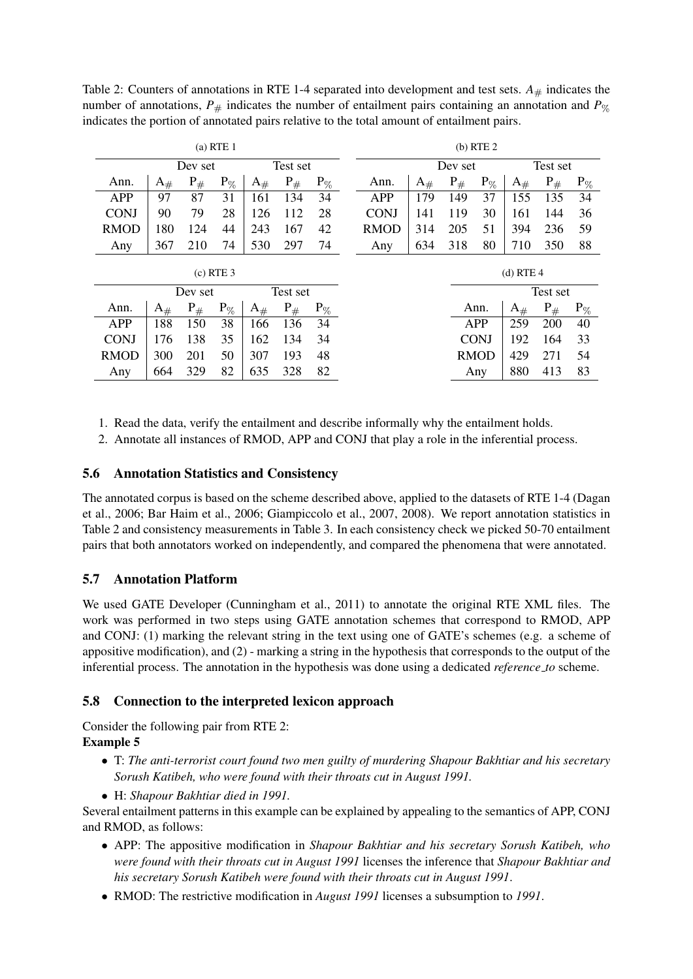| $(a)$ RTE 1         |                   |         |          |                   |          |          | $(b)$ RTE $2$ |                   |          |             |                   |          |          |
|---------------------|-------------------|---------|----------|-------------------|----------|----------|---------------|-------------------|----------|-------------|-------------------|----------|----------|
| Dev set             |                   |         | Test set |                   |          |          | Dev set       |                   |          | Test set    |                   |          |          |
| Ann.                | $\mathrm{A}_{\#}$ | $P_{#}$ | $P_{\%}$ | $\mathrm{A}_{\#}$ | $P_{#}$  | $P_{\%}$ | Ann.          | $\mathrm{A}_{\#}$ | $P_{\#}$ | $P_{\%}$    | $\mathrm{A}_{\#}$ | $P_{#}$  | $P_{\%}$ |
| APP                 | 97                | 87      | 31       | 161               | 134      | 34       | APP           | 179               | 149      | 37          | 155               | 135      | 34       |
| <b>CONJ</b>         | 90                | 79      | 28       | 126               | 112      | 28       | <b>CONJ</b>   | 141               | 119      | 30          | 161               | 144      | 36       |
| <b>RMOD</b>         | 180               | 124     | 44       | 243               | 167      | 42       | <b>RMOD</b>   | 314               | 205      | 51          | 394               | 236      | 59       |
| Any                 | 367               | 210     | 74       | 530               | 297      | 74       | Any           | 634               | 318      | 80          | 710               | 350      | 88       |
| $(c)$ RTE 3         |                   |         |          |                   |          |          |               |                   |          |             | $(d)$ RTE 4       |          |          |
| Test set<br>Dev set |                   |         |          |                   |          |          |               |                   |          |             | Test set          |          |          |
| Ann.                | $A_{\#}$          | $P_{#}$ | $P_{\%}$ | $\mathrm{A}_{\#}$ | $P_{\#}$ | $P_{\%}$ |               |                   |          | Ann.        | $\mathrm{A}_{\#}$ | $P_{\#}$ | $P_{\%}$ |
| <b>APP</b>          | 188               | 150     | 38       | 166               | 136      | 34       |               |                   |          | APP         | 259               | 200      | 40       |
| <b>CONJ</b>         | 176               | 138     | 35       | 162               | 134      | 34       |               |                   |          | <b>CONJ</b> | 192               | 164      | 33       |
| <b>RMOD</b>         | 300               | 201     | 50       | 307               | 193      | 48       |               |                   |          | <b>RMOD</b> | 429               | 271      | 54       |
| Any                 | 664               | 329     | 82       | 635               | 328      | 82       |               |                   |          | Any         | 880               | 413      | 83       |

Table 2: Counters of annotations in RTE 1-4 separated into development and test sets.  $A_{\#}$  indicates the number of annotations,  $P_{\#}$  indicates the number of entailment pairs containing an annotation and  $P_{\%}$ indicates the portion of annotated pairs relative to the total amount of entailment pairs.

1. Read the data, verify the entailment and describe informally why the entailment holds.

2. Annotate all instances of RMOD, APP and CONJ that play a role in the inferential process.

### 5.6 Annotation Statistics and Consistency

The annotated corpus is based on the scheme described above, applied to the datasets of RTE 1-4 (Dagan et al., 2006; Bar Haim et al., 2006; Giampiccolo et al., 2007, 2008). We report annotation statistics in Table 2 and consistency measurements in Table 3. In each consistency check we picked 50-70 entailment pairs that both annotators worked on independently, and compared the phenomena that were annotated.

### 5.7 Annotation Platform

We used GATE Developer (Cunningham et al., 2011) to annotate the original RTE XML files. The work was performed in two steps using GATE annotation schemes that correspond to RMOD, APP and CONJ: (1) marking the relevant string in the text using one of GATE's schemes (e.g. a scheme of appositive modification), and (2) - marking a string in the hypothesis that corresponds to the output of the inferential process. The annotation in the hypothesis was done using a dedicated *reference to* scheme.

### 5.8 Connection to the interpreted lexicon approach

Consider the following pair from RTE 2:

### Example 5

- T: *The anti-terrorist court found two men guilty of murdering Shapour Bakhtiar and his secretary Sorush Katibeh, who were found with their throats cut in August 1991.*
- H: *Shapour Bakhtiar died in 1991.*

Several entailment patterns in this example can be explained by appealing to the semantics of APP, CONJ and RMOD, as follows:

- APP: The appositive modification in *Shapour Bakhtiar and his secretary Sorush Katibeh, who were found with their throats cut in August 1991* licenses the inference that *Shapour Bakhtiar and his secretary Sorush Katibeh were found with their throats cut in August 1991*.
- RMOD: The restrictive modification in *August 1991* licenses a subsumption to *1991*.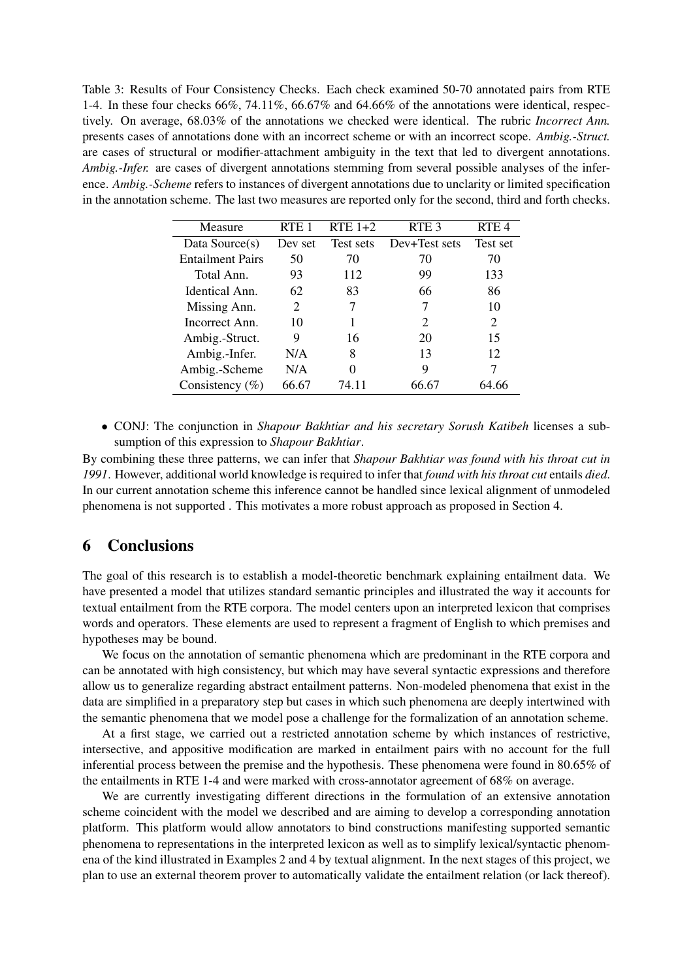Table 3: Results of Four Consistency Checks. Each check examined 50-70 annotated pairs from RTE 1-4. In these four checks 66%, 74.11%, 66.67% and 64.66% of the annotations were identical, respectively. On average, 68.03% of the annotations we checked were identical. The rubric *Incorrect Ann.* presents cases of annotations done with an incorrect scheme or with an incorrect scope. *Ambig.-Struct.* are cases of structural or modifier-attachment ambiguity in the text that led to divergent annotations. *Ambig.-Infer.* are cases of divergent annotations stemming from several possible analyses of the inference. *Ambig.-Scheme* refers to instances of divergent annotations due to unclarity or limited specification in the annotation scheme. The last two measures are reported only for the second, third and forth checks.

| Measure                 | RTE <sub>1</sub> | RTE $1+2$ | RTE <sub>3</sub> | RTE <sub>4</sub> |
|-------------------------|------------------|-----------|------------------|------------------|
| Data Source(s)          | Dev set          | Test sets | Dev+Test sets    | Test set         |
| <b>Entailment Pairs</b> | 50               | 70        | 70               | 70               |
| Total Ann.              | 93               | 112       | 99               | 133              |
| Identical Ann.          | 62               | 83        | 66               | 86               |
| Missing Ann.            | 2                |           | 7                | 10               |
| Incorrect Ann.          | 10               |           | $\mathcal{P}$    | 2                |
| Ambig.-Struct.          | 9                | 16        | 20               | 15               |
| Ambig.-Infer.           | N/A              | 8         | 13               | 12               |
| Ambig.-Scheme           | N/A              | 0         | 9                | 7                |
| Consistency $(\% )$     | 66.67            | 74.11     |                  |                  |

• CONJ: The conjunction in *Shapour Bakhtiar and his secretary Sorush Katibeh* licenses a subsumption of this expression to *Shapour Bakhtiar*.

By combining these three patterns, we can infer that *Shapour Bakhtiar was found with his throat cut in 1991*. However, additional world knowledge is required to infer that *found with his throat cut* entails *died*. In our current annotation scheme this inference cannot be handled since lexical alignment of unmodeled phenomena is not supported . This motivates a more robust approach as proposed in Section 4.

### 6 Conclusions

The goal of this research is to establish a model-theoretic benchmark explaining entailment data. We have presented a model that utilizes standard semantic principles and illustrated the way it accounts for textual entailment from the RTE corpora. The model centers upon an interpreted lexicon that comprises words and operators. These elements are used to represent a fragment of English to which premises and hypotheses may be bound.

We focus on the annotation of semantic phenomena which are predominant in the RTE corpora and can be annotated with high consistency, but which may have several syntactic expressions and therefore allow us to generalize regarding abstract entailment patterns. Non-modeled phenomena that exist in the data are simplified in a preparatory step but cases in which such phenomena are deeply intertwined with the semantic phenomena that we model pose a challenge for the formalization of an annotation scheme.

At a first stage, we carried out a restricted annotation scheme by which instances of restrictive, intersective, and appositive modification are marked in entailment pairs with no account for the full inferential process between the premise and the hypothesis. These phenomena were found in 80.65% of the entailments in RTE 1-4 and were marked with cross-annotator agreement of 68% on average.

We are currently investigating different directions in the formulation of an extensive annotation scheme coincident with the model we described and are aiming to develop a corresponding annotation platform. This platform would allow annotators to bind constructions manifesting supported semantic phenomena to representations in the interpreted lexicon as well as to simplify lexical/syntactic phenomena of the kind illustrated in Examples 2 and 4 by textual alignment. In the next stages of this project, we plan to use an external theorem prover to automatically validate the entailment relation (or lack thereof).